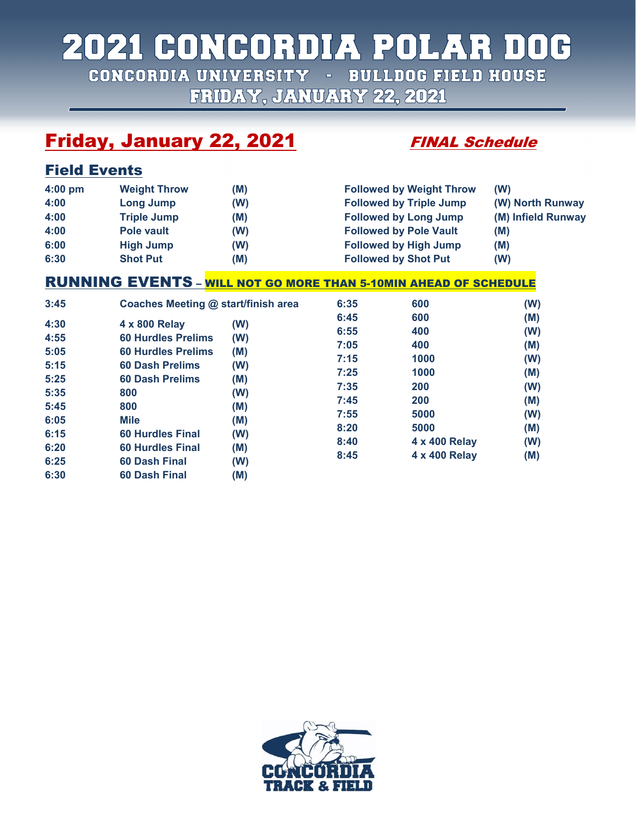# 2021 CONCORDIA POLAR DOG

CONCORDIA UNIVERSITY - BULLDOG FIELD HOUSE FRIDAY, JANUARY 22, 2021

## **Friday, January 22, 2021 FINAL Schedule**

Field Events

| $4:00$ pm | <b>Weight Throw</b> | (M) | <b>Followed by Weight Throw</b> | (W)                |
|-----------|---------------------|-----|---------------------------------|--------------------|
| 4:00      | Long Jump           | (W) | <b>Followed by Triple Jump</b>  | (W) North Runway   |
| 4:00      | <b>Triple Jump</b>  | (M) | <b>Followed by Long Jump</b>    | (M) Infield Runway |
| 4:00      | Pole vault          | (W) | <b>Followed by Pole Vault</b>   | (M)                |
| 6:00      | <b>High Jump</b>    | (W) | <b>Followed by High Jump</b>    | (M)                |
| 6:30      | <b>Shot Put</b>     | (M) | <b>Followed by Shot Put</b>     | (W)                |

### RUNNING EVENTS – WILL NOT GO MORE THAN 5-10MIN AHEAD OF SCHEDULE

| 3:45                                                                                 | Coaches Meeting @ start/finish area                                                                                                                                                                                             |                                                                           | 6:35                                                                                 | 600                                                                                               | (W)                                                                       |
|--------------------------------------------------------------------------------------|---------------------------------------------------------------------------------------------------------------------------------------------------------------------------------------------------------------------------------|---------------------------------------------------------------------------|--------------------------------------------------------------------------------------|---------------------------------------------------------------------------------------------------|---------------------------------------------------------------------------|
| 4:30<br>4:55<br>5:05<br>5:15<br>5:25<br>5:35<br>5:45<br>6:05<br>6:15<br>6:20<br>6:25 | 4 x 800 Relay<br><b>60 Hurdles Prelims</b><br><b>60 Hurdles Prelims</b><br><b>60 Dash Prelims</b><br>60 Dash Prelims<br>800<br>800<br><b>Mile</b><br><b>60 Hurdles Final</b><br><b>60 Hurdles Final</b><br><b>60 Dash Final</b> | (W)<br>(W)<br>(M)<br>(W)<br>(M)<br>(W)<br>(M)<br>(M)<br>(W)<br>(M)<br>(W) | 6:45<br>6:55<br>7:05<br>7:15<br>7:25<br>7:35<br>7:45<br>7:55<br>8:20<br>8:40<br>8:45 | 600<br>400<br>400<br>1000<br>1000<br>200<br>200<br>5000<br>5000<br>4 x 400 Relay<br>4 x 400 Relay | (M)<br>(W)<br>(M)<br>(W)<br>(M)<br>(W)<br>(M)<br>(W)<br>(M)<br>(W)<br>(M) |
| 6:30                                                                                 | 60 Dash Final                                                                                                                                                                                                                   | (M)                                                                       |                                                                                      |                                                                                                   |                                                                           |

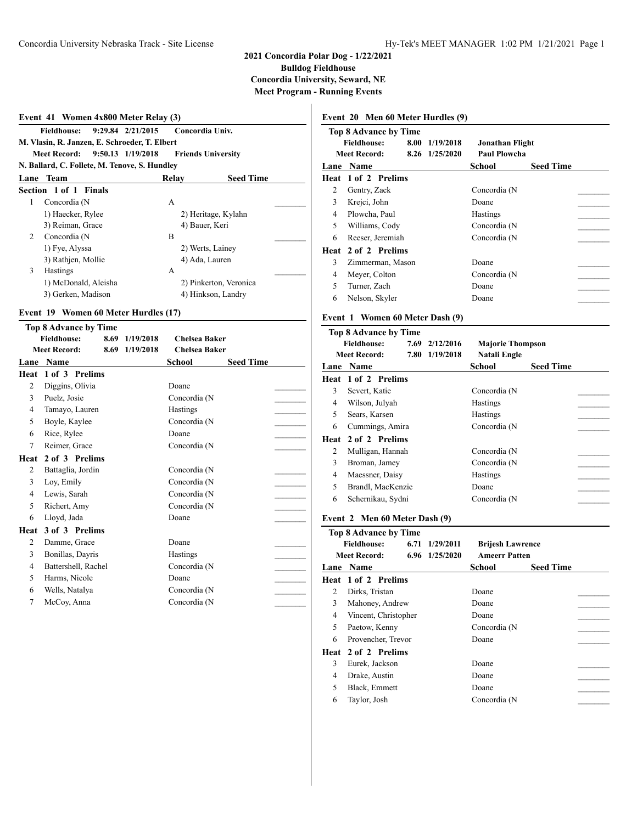| Event 41 Women 4x800 Meter Relay (3) |                                                                       |                        |                  |  |  |  |  |
|--------------------------------------|-----------------------------------------------------------------------|------------------------|------------------|--|--|--|--|
|                                      | $9:29.84$ $2/21/2015$<br>Fieldhouse:                                  | Concordia Univ.        |                  |  |  |  |  |
|                                      | M. Vlasin, R. Janzen, E. Schroeder, T. Elbert                         |                        |                  |  |  |  |  |
|                                      | <b>Meet Record:</b><br>9:50.13 1/19/2018<br><b>Friends University</b> |                        |                  |  |  |  |  |
|                                      | N. Ballard, C. Follete, M. Tenove, S. Hundley                         |                        |                  |  |  |  |  |
| Lane                                 | <b>Team</b>                                                           | Relay                  | <b>Seed Time</b> |  |  |  |  |
|                                      | Section 1 of 1 Finals                                                 |                        |                  |  |  |  |  |
| 1                                    | Concordia (N                                                          | A                      |                  |  |  |  |  |
|                                      | 1) Haecker, Rylee                                                     | 2) Heritage, Kylahn    |                  |  |  |  |  |
|                                      | 3) Reiman, Grace                                                      | 4) Bauer, Keri         |                  |  |  |  |  |
| $\mathbf{2}$                         | Concordia (N                                                          | B                      |                  |  |  |  |  |
|                                      | 1) Fye, Alyssa                                                        | 2) Werts, Lainey       |                  |  |  |  |  |
|                                      | 3) Rathjen, Mollie                                                    | 4) Ada, Lauren         |                  |  |  |  |  |
| 3                                    | <b>Hastings</b>                                                       | A                      |                  |  |  |  |  |
|                                      | 1) McDonald, Aleisha                                                  | 2) Pinkerton, Veronica |                  |  |  |  |  |
|                                      | 3) Gerken, Madison                                                    | 4) Hinkson, Landry     |                  |  |  |  |  |

#### **Event 19 Women 60 Meter Hurdles (17)**

|                | <b>Top 8 Advance by Time</b> |      |           |                      |                  |  |
|----------------|------------------------------|------|-----------|----------------------|------------------|--|
|                | <b>Fieldhouse:</b>           | 8.69 | 1/19/2018 | <b>Chelsea Baker</b> |                  |  |
|                | <b>Meet Record:</b>          | 8.69 | 1/19/2018 | <b>Chelsea Baker</b> |                  |  |
| Lane           | Name                         |      |           | <b>School</b>        | <b>Seed Time</b> |  |
| <b>Heat</b>    | 1 of 3 Prelims               |      |           |                      |                  |  |
| 2              | Diggins, Olivia              |      |           | Doane                |                  |  |
| 3              | Puelz, Josie                 |      |           | Concordia (N         |                  |  |
| 4              | Tamayo, Lauren               |      |           | Hastings             |                  |  |
| 5              | Boyle, Kaylee                |      |           | Concordia (N         |                  |  |
| 6              | Rice, Rylee                  |      |           | Doane                |                  |  |
| 7              | Reimer, Grace                |      |           | Concordia (N         |                  |  |
| Heat           | 2 of 3 Prelims               |      |           |                      |                  |  |
| $\overline{2}$ | Battaglia, Jordin            |      |           | Concordia (N         |                  |  |
| 3              | Loy, Emily                   |      |           | Concordia (N         |                  |  |
| 4              | Lewis, Sarah                 |      |           | Concordia (N         |                  |  |
| 5              | Richert, Amy                 |      |           | Concordia (N         |                  |  |
| 6              | Lloyd, Jada                  |      |           | Doane                |                  |  |
| Heat           | 3 of 3 Prelims               |      |           |                      |                  |  |
| $\overline{c}$ | Damme, Grace                 |      |           | Doane                |                  |  |
| 3              | Bonillas, Dayris             |      |           | <b>Hastings</b>      |                  |  |
| 4              | Battershell, Rachel          |      |           | Concordia (N         |                  |  |
| 5              | Harms, Nicole                |      |           | Doane                |                  |  |
| 6              | Wells, Natalya               |      |           | Concordia (N         |                  |  |
| 7              | McCoy, Anna                  |      |           | Concordia (N         |                  |  |

#### **Event 20 Men 60 Meter Hurdles (9)**

|      | <b>Top 8 Advance by Time</b> |                |                 |                  |  |
|------|------------------------------|----------------|-----------------|------------------|--|
|      | <b>Fieldhouse:</b><br>8.00   | 1/19/2018      | Jonathan Flight |                  |  |
|      | <b>Meet Record:</b>          | 8.26 1/25/2020 | Paul Plowcha    |                  |  |
|      | <b>Lane Name</b>             |                | School          | <b>Seed Time</b> |  |
|      | <b>Heat 1 of 2 Prelims</b>   |                |                 |                  |  |
| 2    | Gentry, Zack                 |                | Concordia (N    |                  |  |
| 3    | Krejci, John                 |                | Doane           |                  |  |
| 4    | Plowcha, Paul                |                | <b>Hastings</b> |                  |  |
| 5    | Williams, Cody               |                | Concordia (N    |                  |  |
| 6    | Reeser, Jeremiah             |                | Concordia (N    |                  |  |
| Heat | 2 of 2 Prelims               |                |                 |                  |  |
| 3    | Zimmerman, Mason             |                | Doane           |                  |  |
| 4    | Meyer, Colton                |                | Concordia (N    |                  |  |
| 5    | Turner, Zach                 |                | Doane           |                  |  |
| 6    | Nelson, Skyler               |                | Doane           |                  |  |
|      |                              |                |                 |                  |  |

#### **Event 1 Women 60 Meter Dash (9)**

|   | <b>Top 8 Advance by Time</b> |                |                         |                  |
|---|------------------------------|----------------|-------------------------|------------------|
|   | <b>Fieldhouse:</b>           | 7.69 2/12/2016 | <b>Majorie Thompson</b> |                  |
|   | <b>Meet Record:</b>          | 7.80 1/19/2018 | Natali Engle            |                  |
|   | Lane Name                    |                | School                  | <b>Seed Time</b> |
|   | <b>Heat 1 of 2 Prelims</b>   |                |                         |                  |
| 3 | Severt, Katie                |                | Concordia (N            |                  |
| 4 | Wilson, Julyah               |                | <b>Hastings</b>         |                  |
| 5 | Sears, Karsen                |                | Hastings                |                  |
| 6 | Cummings, Amira              |                | Concordia (N            |                  |
|   | <b>Heat 2 of 2 Prelims</b>   |                |                         |                  |
| 2 | Mulligan, Hannah             |                | Concordia (N            |                  |
| 3 | Broman, Jamey                |                | Concordia (N            |                  |
| 4 | Maessner, Daisy              |                | <b>Hastings</b>         |                  |
| 5 | Brandl, MacKenzie            |                | Doane                   |                  |
| 6 | Schernikau, Sydni            |                | Concordia (N            |                  |
|   |                              |                |                         |                  |

#### **Event 2 Men 60 Meter Dash (9)**

|                | <b>Top 8 Advance by Time</b><br><b>Fieldhouse:</b><br><b>Meet Record:</b> | 6.71 1/29/2011<br>6.96 1/25/2020 | <b>Brijesh Lawrence</b><br><b>Ameerr Patten</b> |                  |
|----------------|---------------------------------------------------------------------------|----------------------------------|-------------------------------------------------|------------------|
|                | Lane Name                                                                 |                                  | School                                          | <b>Seed Time</b> |
|                | Heat 1 of 2 Prelims                                                       |                                  |                                                 |                  |
| 2              | Dirks, Tristan                                                            |                                  | Doane                                           |                  |
| 3              | Mahoney, Andrew                                                           |                                  | Doane                                           |                  |
| $\overline{4}$ | Vincent, Christopher                                                      |                                  | Doane                                           |                  |
| 5              | Paetow, Kenny                                                             |                                  | Concordia (N                                    |                  |
| 6              | Provencher, Trevor                                                        |                                  | Doane                                           |                  |
|                | Heat 2 of 2 Prelims                                                       |                                  |                                                 |                  |
| 3              | Eurek, Jackson                                                            |                                  | Doane                                           |                  |
| 4              | Drake, Austin                                                             |                                  | Doane                                           |                  |
| 5              | Black, Emmett                                                             |                                  | Doane                                           |                  |
| 6              | Taylor, Josh                                                              |                                  | Concordia (N                                    |                  |
|                |                                                                           |                                  |                                                 |                  |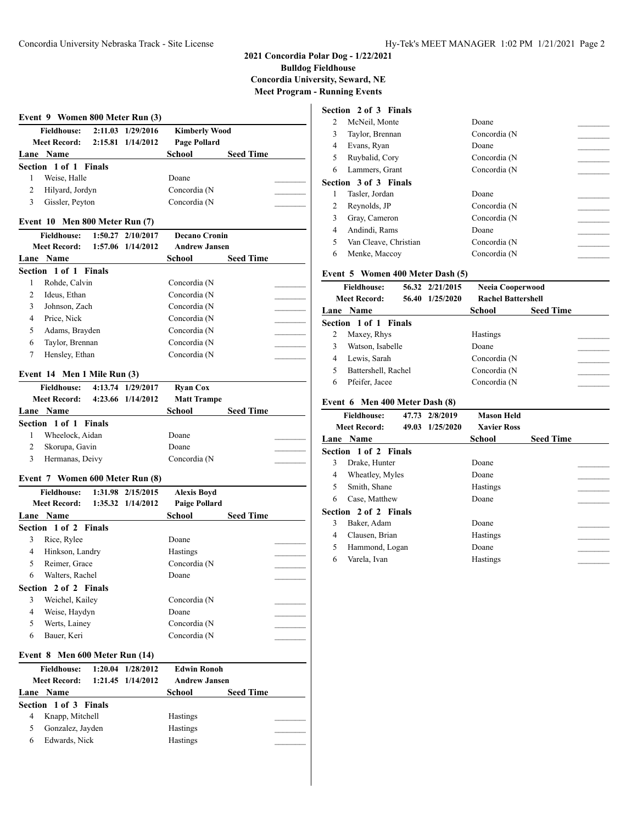| Event 9 Women 800 Meter Run (3)          |           |                      |                  |  |  |
|------------------------------------------|-----------|----------------------|------------------|--|--|
| 2:11.03 1/29/2016<br><b>Fieldhouse:</b>  |           | <b>Kimberly Wood</b> |                  |  |  |
| <b>Meet Record:</b><br>2:15.81 1/14/2012 |           | Page Pollard         |                  |  |  |
| Lane Name                                |           | School               | <b>Seed Time</b> |  |  |
| Section 1 of 1 Finals                    |           |                      |                  |  |  |
| 1<br>Weise, Halle                        |           | Doane                |                  |  |  |
| 2<br>Hilyard, Jordyn                     |           | Concordia (N         |                  |  |  |
| 3<br>Gissler, Peyton                     |           | Concordia (N         |                  |  |  |
| Event 10 Men 800 Meter Run (7)           |           |                      |                  |  |  |
| <b>Fieldhouse:</b><br>1:50.27            | 2/10/2017 | <b>Decano Cronin</b> |                  |  |  |
| <b>Meet Record:</b><br>1:57.06 1/14/2012 |           | <b>Andrew Jansen</b> |                  |  |  |
| Lane Name                                |           | School               | <b>Seed Time</b> |  |  |
| Section 1 of 1 Finals                    |           |                      |                  |  |  |
| 1<br>Rohde, Calvin                       |           | Concordia (N         |                  |  |  |
| $\overline{c}$<br>Ideus, Ethan           |           | Concordia (N         |                  |  |  |
| 3<br>Johnson, Zach                       |           | Concordia (N         |                  |  |  |
| 4<br>Price, Nick                         |           | Concordia (N         |                  |  |  |
| 5<br>Adams, Brayden                      |           | Concordia (N         |                  |  |  |
| 6<br>Taylor, Brennan                     |           | Concordia (N         |                  |  |  |
| Hensley, Ethan<br>7                      |           | Concordia (N         |                  |  |  |
|                                          |           |                      |                  |  |  |
| Event 14 Men 1 Mile Run (3)              |           |                      |                  |  |  |
| <b>Fieldhouse:</b><br>4:13.74 1/29/2017  |           | <b>Ryan Cox</b>      |                  |  |  |
| <b>Meet Record:</b><br>4:23.66 1/14/2012 |           | <b>Matt Trampe</b>   |                  |  |  |
| Lane Name                                |           | School               | <b>Seed Time</b> |  |  |
| Section 1 of 1 Finals                    |           |                      |                  |  |  |
| Wheelock, Aidan<br>1                     |           | Doane                |                  |  |  |
| $\overline{c}$<br>Skorupa, Gavin         |           | Doane                |                  |  |  |
| Hermanas, Deivy<br>3                     |           | Concordia (N         |                  |  |  |
|                                          |           |                      |                  |  |  |
| Event 7 Women 600 Meter Run (8)          |           |                      |                  |  |  |
| <b>Fieldhouse:</b><br>1:31.98 2/15/2015  |           | <b>Alexis Boyd</b>   |                  |  |  |
| <b>Meet Record:</b><br>1:35.32 1/14/2012 |           | <b>Paige Pollard</b> |                  |  |  |
| Lane Name                                |           | School               | <b>Seed Time</b> |  |  |
| Section 1 of 2 Finals                    |           |                      |                  |  |  |
| 3<br>Rice, Rylee                         |           | Doane                |                  |  |  |
| Hinkson, Landry<br>4                     |           | <b>Hastings</b>      |                  |  |  |
| Reimer, Grace<br>5                       |           | Concordia (N         |                  |  |  |
| 6<br>Walters, Rachel                     |           | Doane                |                  |  |  |
| 2 of 2 Finals<br>Section                 |           |                      |                  |  |  |
| Weichel, Kailey<br>3                     |           | Concordia (N         |                  |  |  |
| 4<br>Weise, Haydyn                       |           | Doane                |                  |  |  |
| 5<br>Werts, Lainey                       |           | Concordia (N         |                  |  |  |
| 6<br>Bauer, Keri                         |           | Concordia (N         |                  |  |  |
| Event 8 Men 600 Meter Run (14)           |           |                      |                  |  |  |
| <b>Fieldhouse:</b><br>1:20.04            | 1/28/2012 | <b>Edwin Ronoh</b>   |                  |  |  |
| <b>Meet Record:</b><br>1:21.45           | 1/14/2012 | <b>Andrew Jansen</b> |                  |  |  |
| Lane Name                                |           | School               | <b>Seed Time</b> |  |  |
| Section 1 of 3 Finals                    |           |                      |                  |  |  |
| $\overline{4}$<br>Knapp, Mitchell        |           | Hastings             |                  |  |  |
| 5<br>Gonzalez, Jayden                    |           | <b>Hastings</b>      |                  |  |  |
| Edwards, Nick<br>6                       |           | Hastings             |                  |  |  |

#### **Section 2 of 3 Finals**

| $\mathfrak{D}$ | McNeil, Monte                | Doane        |  |
|----------------|------------------------------|--------------|--|
| 3              | Taylor, Brennan              | Concordia (N |  |
| 4              | Evans, Ryan                  | Doane        |  |
| 5              | Ruybalid, Cory               | Concordia (N |  |
| 6              | Lammers, Grant               | Concordia (N |  |
|                | <b>Section 3 of 3 Finals</b> |              |  |
|                | Tasler, Jordan               | Doane        |  |
| 2              | Reynolds, JP                 | Concordia (N |  |
| 3              | Gray, Cameron                | Concordia (N |  |
| 4              | Andindi, Rams                | Doane        |  |
| 5              | Van Cleave, Christian        | Concordia (N |  |
| 6              | Menke, Maccoy                | Concordia (N |  |

#### **Event 5 Women 400 Meter Dash (5)**

|   | <b>Fieldhouse:</b><br>56.32 2/21/2015<br>Neeia Cooperwood<br>1/25/2020<br><b>Rachel Battershell</b><br><b>Meet Record:</b><br>56.40 |  |                 |                  |  |
|---|-------------------------------------------------------------------------------------------------------------------------------------|--|-----------------|------------------|--|
|   | Lane Name                                                                                                                           |  | School          | <b>Seed Time</b> |  |
|   | Section 1 of 1 Finals                                                                                                               |  |                 |                  |  |
| 2 | Maxey, Rhys                                                                                                                         |  | <b>Hastings</b> |                  |  |
| 3 | Watson, Isabelle                                                                                                                    |  | Doane           |                  |  |
| 4 | Lewis, Sarah                                                                                                                        |  | Concordia (N    |                  |  |
| 5 | Battershell, Rachel                                                                                                                 |  | Concordia (N    |                  |  |
| 6 | Pfeifer, Jacee                                                                                                                      |  | Concordia (N    |                  |  |

#### **Event 6 Men 400 Meter Dash (8)**

|   | <b>Fieldhouse:</b>           | 47.73 2/8/2019  | <b>Mason Held</b>  |                  |  |
|---|------------------------------|-----------------|--------------------|------------------|--|
|   | <b>Meet Record:</b>          | 49.03 1/25/2020 | <b>Xavier Ross</b> |                  |  |
|   | Lane Name                    |                 | School             | <b>Seed Time</b> |  |
|   | <b>Section 1 of 2 Finals</b> |                 |                    |                  |  |
| 3 | Drake, Hunter                |                 | Doane              |                  |  |
| 4 | Wheatley, Myles              |                 | Doane              |                  |  |
| 5 | Smith, Shane                 |                 | <b>Hastings</b>    |                  |  |
| 6 | Case, Matthew                |                 | Doane              |                  |  |
|   | Section 2 of 2 Finals        |                 |                    |                  |  |
| 3 | Baker, Adam                  |                 | Doane              |                  |  |
| 4 | Clausen, Brian               |                 | <b>Hastings</b>    |                  |  |
| 5 | Hammond, Logan               |                 | Doane              |                  |  |
| 6 | Varela, Ivan                 |                 | Hastings           |                  |  |
|   |                              |                 |                    |                  |  |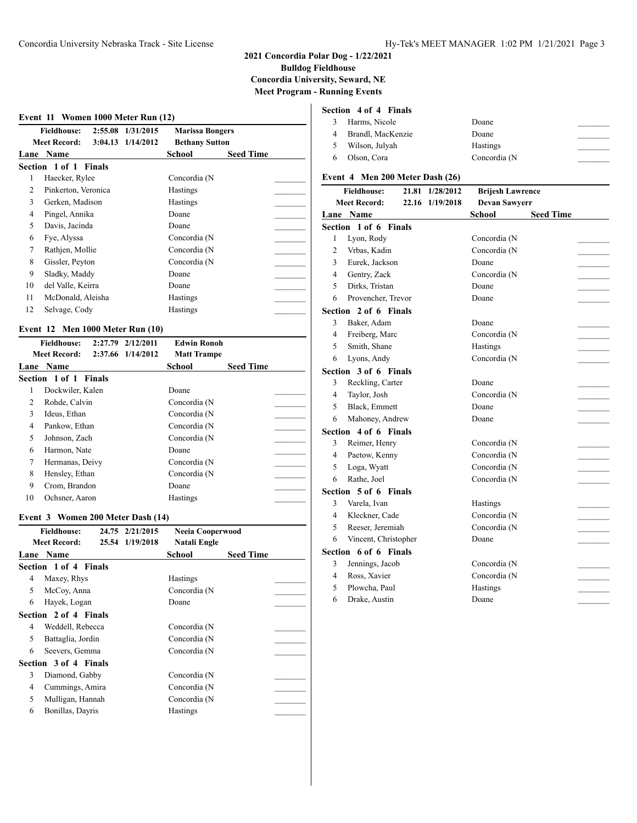#### **Event 11 Women 1000 Meter Run (12)**

| <b>Fieldhouse:</b>    |                                            |                  |                                                 |
|-----------------------|--------------------------------------------|------------------|-------------------------------------------------|
| <b>Meet Record:</b>   |                                            |                  |                                                 |
| Name                  | School                                     | <b>Seed Time</b> |                                                 |
| Section 1 of 1 Finals |                                            |                  |                                                 |
| Haecker, Rylee        | Concordia (N                               |                  |                                                 |
| Pinkerton, Veronica   | <b>Hastings</b>                            |                  |                                                 |
| Gerken, Madison       | <b>Hastings</b>                            |                  |                                                 |
| Pingel, Annika        | Doane                                      |                  |                                                 |
| Davis, Jacinda        | Doane                                      |                  |                                                 |
| Fye, Alyssa           | Concordia (N                               |                  |                                                 |
| Rathjen, Mollie       | Concordia (N                               |                  |                                                 |
| Gissler, Peyton       | Concordia (N                               |                  |                                                 |
| Sladky, Maddy         | Doane                                      |                  |                                                 |
| del Valle, Keirra     | Doane                                      |                  |                                                 |
| McDonald, Aleisha     | <b>Hastings</b>                            |                  |                                                 |
| Selvage, Cody         | Hastings                                   |                  |                                                 |
|                       | 2:55.08 1/31/2015<br>$3:04.13$ $1/14/2012$ |                  | <b>Marissa Bongers</b><br><b>Bethany Sutton</b> |

#### **Event 12 Men 1000 Meter Run (10)**

|    | <b>Fieldhouse:</b><br>2:27.79 | 2/12/2011         | <b>Edwin Ronoh</b> |                  |  |
|----|-------------------------------|-------------------|--------------------|------------------|--|
|    | <b>Meet Record:</b>           | 2:37.66 1/14/2012 | <b>Matt Trampe</b> |                  |  |
|    | <b>Lane Name</b>              |                   | School             | <b>Seed Time</b> |  |
|    | Section 1 of 1 Finals         |                   |                    |                  |  |
|    | Dockwiler, Kalen              |                   | Doane              |                  |  |
| 2  | Rohde, Calvin                 |                   | Concordia (N       |                  |  |
| 3  | Ideus, Ethan                  |                   | Concordia (N       |                  |  |
| 4  | Pankow, Ethan                 |                   | Concordia (N       |                  |  |
| 5  | Johnson, Zach                 |                   | Concordia (N       |                  |  |
| 6  | Harmon, Nate                  |                   | Doane              |                  |  |
| 7  | Hermanas, Deivy               |                   | Concordia (N       |                  |  |
| 8  | Hensley, Ethan                |                   | Concordia (N       |                  |  |
| 9  | Crom, Brandon                 |                   | Doane              |                  |  |
| 10 | Ochsner, Aaron                |                   | <b>Hastings</b>    |                  |  |

#### **Event 3 Women 200 Meter Dash (14)**

|   | <b>Fieldhouse:</b>    | 24.75 2/21/2015 | Neeia Cooperwood |                  |  |
|---|-----------------------|-----------------|------------------|------------------|--|
|   | <b>Meet Record:</b>   | 25.54 1/19/2018 | Natali Engle     |                  |  |
|   | Lane Name             |                 | School           | <b>Seed Time</b> |  |
|   | Section 1 of 4 Finals |                 |                  |                  |  |
| 4 | Maxey, Rhys           |                 | <b>Hastings</b>  |                  |  |
| 5 | McCoy, Anna           |                 | Concordia (N     |                  |  |
| 6 | Hayek, Logan          |                 | Doane            |                  |  |
|   | Section 2 of 4 Finals |                 |                  |                  |  |
| 4 | Weddell, Rebecca      |                 | Concordia (N     |                  |  |
| 5 | Battaglia, Jordin     |                 | Concordia (N     |                  |  |
| 6 | Seevers, Gemma        |                 | Concordia (N     |                  |  |
|   | Section 3 of 4 Finals |                 |                  |                  |  |
| 3 | Diamond, Gabby        |                 | Concordia (N     |                  |  |
| 4 | Cummings, Amira       |                 | Concordia (N     |                  |  |
| 5 | Mulligan, Hannah      |                 | Concordia (N     |                  |  |
| 6 | Bonillas, Dayris      |                 | <b>Hastings</b>  |                  |  |

#### **Section 4 of 4 Finals**

| 3 Harms, Nicole     | Doane           |  |
|---------------------|-----------------|--|
| 4 Brandl, MacKenzie | Doane           |  |
| 5 Wilson, Julyah    | <b>Hastings</b> |  |
| 6 Olson, Cora       | Concordia (N    |  |

#### **Event 4 Men 200 Meter Dash (26)**

|                | <b>Fieldhouse:</b>    | 21.81 | 1/28/2012       | <b>Brijesh Lawrence</b> |                  |  |
|----------------|-----------------------|-------|-----------------|-------------------------|------------------|--|
|                | <b>Meet Record:</b>   |       | 22.16 1/19/2018 | <b>Devan Sawyerr</b>    |                  |  |
|                | Lane Name             |       |                 | School                  | <b>Seed Time</b> |  |
|                | Section 1 of 6 Finals |       |                 |                         |                  |  |
| 1              | Lyon, Rody            |       |                 | Concordia (N            |                  |  |
| $\overline{2}$ | Vrbas, Kadin          |       |                 | Concordia (N            |                  |  |
| 3              | Eurek, Jackson        |       |                 | Doane                   |                  |  |
| $\overline{4}$ | Gentry, Zack          |       |                 | Concordia (N            |                  |  |
| 5              | Dirks, Tristan        |       |                 | Doane                   |                  |  |
| 6              | Provencher, Trevor    |       |                 | Doane                   |                  |  |
|                | Section 2 of 6 Finals |       |                 |                         |                  |  |
| 3              | Baker, Adam           |       |                 | Doane                   |                  |  |
| 4              | Freiberg, Marc        |       |                 | Concordia (N            |                  |  |
| 5              | Smith, Shane          |       |                 | Hastings                |                  |  |
| 6              | Lyons, Andy           |       |                 | Concordia (N            |                  |  |
|                | Section 3 of 6 Finals |       |                 |                         |                  |  |
| 3              | Reckling, Carter      |       |                 | Doane                   |                  |  |
| 4              | Taylor, Josh          |       |                 | Concordia (N            |                  |  |
| 5              | Black, Emmett         |       |                 | Doane                   |                  |  |
| 6              | Mahoney, Andrew       |       |                 | Doane                   |                  |  |
|                | Section 4 of 6 Finals |       |                 |                         |                  |  |
| 3              | Reimer, Henry         |       |                 | Concordia (N            |                  |  |
| 4              | Paetow, Kenny         |       |                 | Concordia (N            |                  |  |
| 5              | Loga, Wyatt           |       |                 | Concordia (N            |                  |  |
| 6              | Rathe, Joel           |       |                 | Concordia (N            |                  |  |
|                | Section 5 of 6 Finals |       |                 |                         |                  |  |
| 3              | Varela, Ivan          |       |                 | Hastings                |                  |  |
| 4              | Kleckner, Cade        |       |                 | Concordia (N            |                  |  |
| 5              | Reeser, Jeremiah      |       |                 | Concordia (N            |                  |  |
| 6              | Vincent, Christopher  |       |                 | Doane                   |                  |  |
|                | Section 6 of 6 Finals |       |                 |                         |                  |  |
| 3              | Jennings, Jacob       |       |                 | Concordia (N            |                  |  |
| 4              | Ross, Xavier          |       |                 | Concordia (N            |                  |  |
| 5              | Plowcha, Paul         |       |                 | Hastings                |                  |  |
| 6              | Drake, Austin         |       |                 | Doane                   |                  |  |
|                |                       |       |                 |                         |                  |  |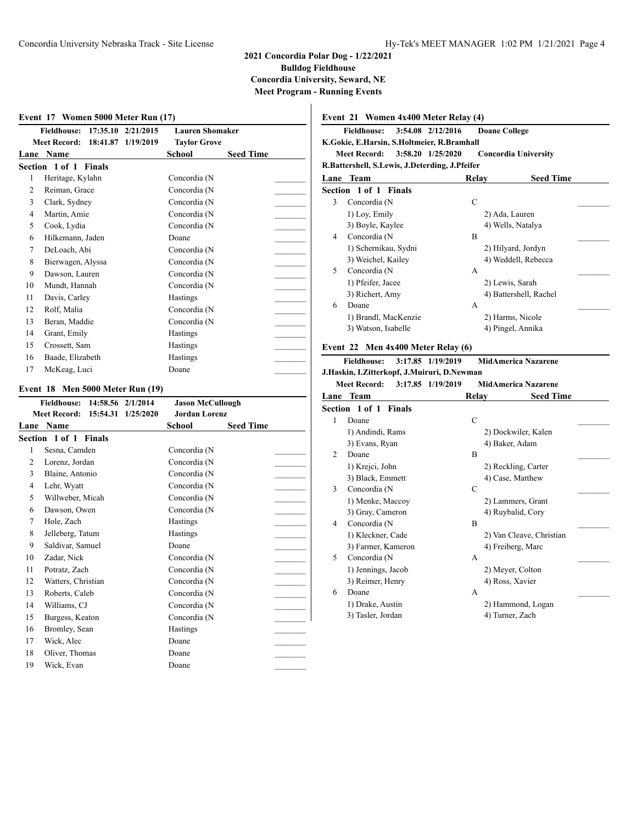#### **Event 17 Women 5000 Meter Run (17)**

|      | <b>Fieldhouse:</b><br>17:35.10  | 2/21/2015 | <b>Lauren Shomaker</b> |                  |
|------|---------------------------------|-----------|------------------------|------------------|
|      | <b>Meet Record:</b><br>18:41.87 | 1/19/2019 | <b>Taylor Grove</b>    |                  |
| Lane | Name                            |           | <b>School</b>          | <b>Seed Time</b> |
|      | Section 1 of 1 Finals           |           |                        |                  |
| 1    | Heritage, Kylahn                |           | Concordia (N           |                  |
| 2    | Reiman, Grace                   |           | Concordia (N           |                  |
| 3    | Clark, Sydney                   |           | Concordia (N           |                  |
| 4    | Martin, Amie                    |           | Concordia (N           |                  |
| 5    | Cook, Lydia                     |           | Concordia (N           |                  |
| 6    | Hilkemann, Jaden                |           | Doane                  |                  |
| 7    | DeLoach, Abi                    |           | Concordia (N           |                  |
| 8    | Bierwagen, Alyssa               |           | Concordia (N           |                  |
| 9    | Dawson, Lauren                  |           | Concordia (N           |                  |
| 10   | Mundt, Hannah                   |           | Concordia (N           |                  |
| 11   | Davis, Carley                   |           | <b>Hastings</b>        |                  |
| 12   | Rolf, Malia                     |           | Concordia (N           |                  |
| 13   | Beran, Maddie                   |           | Concordia (N           |                  |
| 14   | Grant, Emily                    |           | Hastings               |                  |
| 15   | Crossett, Sam                   |           | <b>Hastings</b>        |                  |
| 16   | Baade, Elizabeth                |           | Hastings               |                  |
| 17   | McKeag, Luci                    |           | Doane                  |                  |

#### **Event 18 Men 5000 Meter Run (19)**

|        | <b>Fieldhouse:</b>    | 14:58.56 2/1/2014  | <b>Jason McCullough</b> |                  |
|--------|-----------------------|--------------------|-------------------------|------------------|
|        | <b>Meet Record:</b>   | 15:54.31 1/25/2020 | <b>Jordan Lorenz</b>    |                  |
| Lane   | Name                  |                    | School                  | <b>Seed Time</b> |
|        | Section 1 of 1 Finals |                    |                         |                  |
| 1      | Sesna, Camden         |                    | Concordia (N            |                  |
| 2      | Lorenz, Jordan        |                    | Concordia (N            |                  |
| 3      | Blaine, Antonio       |                    | Concordia (N            |                  |
| 4      | Lehr, Wyatt           |                    | Concordia (N            |                  |
| 5      | Willweber, Micah      |                    | Concordia (N            |                  |
| 6      | Dawson, Owen          |                    | Concordia (N            |                  |
| $\tau$ | Hole, Zach            |                    | Hastings                |                  |
| 8      | Jelleberg, Tatum      |                    | <b>Hastings</b>         |                  |
| 9      | Saldivar, Samuel      |                    | Doane                   |                  |
| 10     | Zadar, Nick           |                    | Concordia (N            |                  |
| 11     | Potratz, Zach         |                    | Concordia (N            |                  |
| 12     | Watters, Christian    |                    | Concordia (N            |                  |
| 13     | Roberts, Caleb        |                    | Concordia (N            |                  |
| 14     | Williams, CJ          |                    | Concordia (N            |                  |
| 15     | Burgess, Keaton       |                    | Concordia (N            |                  |
| 16     | Bromley, Sean         |                    | Hastings                |                  |
| 17     | Wick, Alec            |                    | Doane                   |                  |
| 18     | Oliver, Thomas        |                    | Doane                   |                  |
| 19     | Wick, Evan            |                    | Doane                   |                  |

#### **Event 21 Women 4x400 Meter Relay (4) Fieldhouse: 3:54.08 2/12/2016 Doane College K.Gokie, E.Harsin, S.Holtmeier, R.Bramhall Meet Record: 3:58.20 1/25/2020 Concordia University R.Battershell, S.Lewis, J.Deterding, J.Pfeifer Lane Team Relay Seed Time Section 1 of 1 Finals** 3 Concordia (N C 1) Loy, Emily 2) Ada, Lauren 3) Boyle, Kaylee 4) Wells, Natalya 4 Concordia (N B 1) Schernikau, Sydni 2) Hilyard, Jordyn 3) Weichel, Kailey 4) Weddell, Rebecca 5 Concordia (N A 1) Pfeifer, Jacee 2) Lewis, Sarah 3) Richert, Amy 4) Battershell, Rachel 6 Doane A \_\_\_\_\_\_\_\_\_ 1) Brandl, MacKenzie 2) Harms, Nicole 3) Watson, Isabelle 4) Pingel, Annika **Event 22 Men 4x400 Meter Relay (6) Fieldhouse: 3:17.85 1/19/2019 MidAmerica Nazarene J.Haskin, I.Zitterkopf, J.Muiruri, D.Newman Meet Record: 3:17.85 1/19/2019 MidAmerica Nazarene Lane Team Relay Seed Time Section 1 of 1 Finals** 1 Doane C 1) Andindi, Rams 2) Dockwiler, Kalen 3) Evans, Ryan 4) Baker, Adam 2 Doane B 1) Krejci, John 2) Reckling, Carter 3) Black, Emmett 4) Case, Matthew 3 Concordia (N C 1) Menke, Maccoy 2) Lammers, Grant 3) Gray, Cameron 4) Ruybalid, Cory 4 Concordia (N B 1) Kleckner, Cade 2) Van Cleave, Christian 3) Farmer, Kameron 4) Freiberg, Marc 5 Concordia (N A 1) Jennings, Jacob 2) Meyer, Colton 3) Reimer, Henry 4) Ross, Xavier 6 Doane A \_\_\_\_\_\_\_\_\_

1) Drake, Austin 2) Hammond, Logan 3) Tasler, Jordan 4) Turner, Zach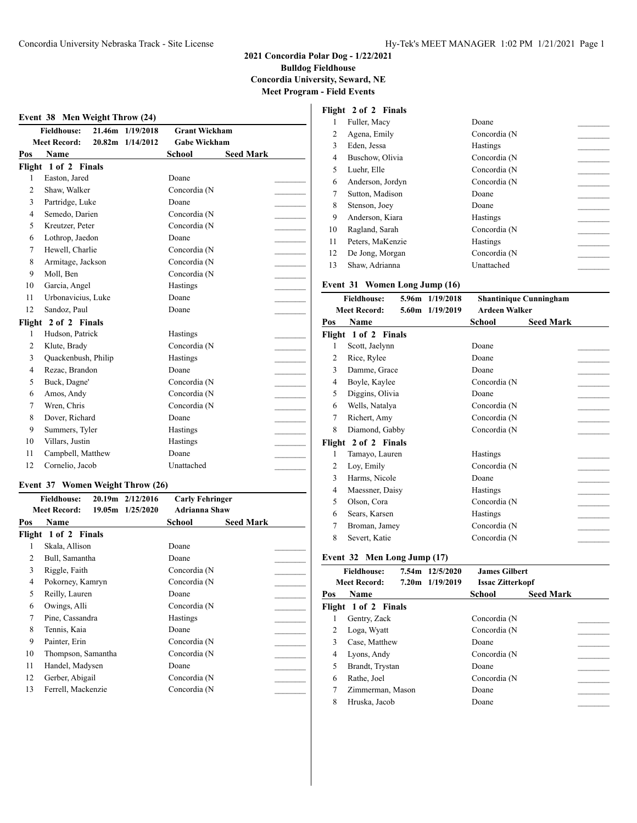$\overline{\phantom{a}}$ 

#### **Event 38 Men Weight Throw (24)**

|                | <b>Fieldhouse:</b>   | 21.46m 1/19/2018 | <b>Grant Wickham</b> |                  |  |
|----------------|----------------------|------------------|----------------------|------------------|--|
|                | <b>Meet Record:</b>  | 20.82m 1/14/2012 | <b>Gabe Wickham</b>  |                  |  |
| Pos            | Name                 |                  | <b>School</b>        | <b>Seed Mark</b> |  |
|                | Flight 1 of 2 Finals |                  |                      |                  |  |
| 1              | Easton, Jared        |                  | Doane                |                  |  |
| $\overline{c}$ | Shaw, Walker         |                  | Concordia (N         |                  |  |
| 3              | Partridge, Luke      |                  | Doane                |                  |  |
| $\overline{4}$ | Semedo, Darien       |                  | Concordia (N         |                  |  |
| 5              | Kreutzer, Peter      |                  | Concordia (N         |                  |  |
| 6              | Lothrop, Jaedon      |                  | Doane                |                  |  |
| $\tau$         | Hewell, Charlie      |                  | Concordia (N         |                  |  |
| 8              | Armitage, Jackson    |                  | Concordia (N         |                  |  |
| 9              | Moll, Ben            |                  | Concordia (N         |                  |  |
| 10             | Garcia, Angel        |                  | Hastings             |                  |  |
| 11             | Urbonavicius, Luke   |                  | Doane                |                  |  |
| 12             | Sandoz, Paul         |                  | Doane                |                  |  |
|                | Flight 2 of 2 Finals |                  |                      |                  |  |
| 1              | Hudson, Patrick      |                  | Hastings             |                  |  |
| $\overline{c}$ | Klute, Brady         |                  | Concordia (N         |                  |  |
| 3              | Quackenbush, Philip  |                  | Hastings             |                  |  |
| $\overline{4}$ | Rezac, Brandon       |                  | Doane                |                  |  |
| 5              | Buck, Dagne'         |                  | Concordia (N         |                  |  |
| 6              | Amos, Andy           |                  | Concordia (N         |                  |  |
| 7              | Wren, Chris          |                  | Concordia (N         |                  |  |
| 8              | Dover, Richard       |                  | Doane                |                  |  |
| 9              | Summers, Tyler       |                  | Hastings             |                  |  |
| 10             | Villars, Justin      |                  | Hastings             |                  |  |
| 11             | Campbell, Matthew    |                  | Doane                |                  |  |
| 12             | Cornelio, Jacob      |                  | Unattached           |                  |  |
|                |                      |                  |                      |                  |  |

#### **Event 37 Women Weight Throw (26)**

|     | <b>Fieldhouse:</b>   | 20.19m 2/12/2016 | <b>Carly Fehringer</b> |                  |  |
|-----|----------------------|------------------|------------------------|------------------|--|
|     | <b>Meet Record:</b>  | 19.05m 1/25/2020 | <b>Adrianna Shaw</b>   |                  |  |
| Pos | Name                 |                  | School                 | <b>Seed Mark</b> |  |
|     | Flight 1 of 2 Finals |                  |                        |                  |  |
|     | Skala, Allison       |                  | Doane                  |                  |  |
| 2   | Bull, Samantha       |                  | Doane                  |                  |  |
| 3   | Riggle, Faith        |                  | Concordia (N           |                  |  |
| 4   | Pokorney, Kamryn     |                  | Concordia (N           |                  |  |
| 5   | Reilly, Lauren       |                  | Doane                  |                  |  |
| 6   | Owings, Alli         |                  | Concordia (N           |                  |  |
| 7   | Pine, Cassandra      |                  | <b>Hastings</b>        |                  |  |
| 8   | Tennis, Kaia         |                  | Doane                  |                  |  |
| 9   | Painter, Erin        |                  | Concordia (N           |                  |  |
| 10  | Thompson, Samantha   |                  | Concordia (N           |                  |  |
| 11  | Handel, Madysen      |                  | Doane                  |                  |  |
| 12  | Gerber, Abigail      |                  | Concordia (N           |                  |  |
| 13  | Ferrell, Mackenzie   |                  | Concordia (N           |                  |  |

|    | Flight 2 of 2 Finals |                 |
|----|----------------------|-----------------|
|    | Fuller, Macy         | Doane           |
| 2  | Agena, Emily         | Concordia (N    |
| 3  | Eden, Jessa          | Hastings        |
| 4  | Buschow, Olivia      | Concordia (N    |
| 5  | Luehr, Elle          | Concordia (N    |
| 6  | Anderson, Jordyn     | Concordia (N    |
| 7  | Sutton, Madison      | Doane           |
| 8  | Stenson, Joey        | Doane           |
| 9  | Anderson, Kiara      | <b>Hastings</b> |
| 10 | Ragland, Sarah       | Concordia (N    |
| 11 | Peters, MaKenzie     | Hastings        |
| 12 | De Jong, Morgan      | Concordia (N    |
| 13 | Shaw, Adrianna       | Unattached      |

#### **Event 31 Women Long Jump (16)**

|     | <b>Fieldhouse:</b>   | 5.96m 1/19/2018 |                      | <b>Shantinique Cunningham</b> |  |
|-----|----------------------|-----------------|----------------------|-------------------------------|--|
|     | <b>Meet Record:</b>  | 5.60m 1/19/2019 | <b>Ardeen Walker</b> |                               |  |
| Pos | Name                 |                 | School               | <b>Seed Mark</b>              |  |
|     | Flight 1 of 2 Finals |                 |                      |                               |  |
| 1   | Scott, Jaelynn       |                 | Doane                |                               |  |
| 2   | Rice, Rylee          |                 | Doane                |                               |  |
| 3   | Damme, Grace         |                 | Doane                |                               |  |
| 4   | Boyle, Kaylee        |                 | Concordia (N         |                               |  |
| 5   | Diggins, Olivia      |                 | Doane                |                               |  |
| 6   | Wells, Natalya       |                 | Concordia (N         |                               |  |
| 7   | Richert, Amy         |                 | Concordia (N         |                               |  |
| 8   | Diamond, Gabby       |                 | Concordia (N         |                               |  |
|     | Flight 2 of 2 Finals |                 |                      |                               |  |
| 1   | Tamayo, Lauren       |                 | <b>Hastings</b>      |                               |  |
| 2   | Loy, Emily           |                 | Concordia (N         |                               |  |
| 3   | Harms, Nicole        |                 | Doane                |                               |  |
| 4   | Maessner, Daisy      |                 | <b>Hastings</b>      |                               |  |
| 5   | Olson, Cora          |                 | Concordia (N         |                               |  |
| 6   | Sears, Karsen        |                 | <b>Hastings</b>      |                               |  |
| 7   | Broman, Jamey        |                 | Concordia (N         |                               |  |
| 8   | Severt, Katie        |                 | Concordia (N         |                               |  |
|     |                      |                 |                      |                               |  |

#### **Event 32 Men Long Jump (17)**

|     | <b>Fieldhouse:</b>   | 7.54m 12/5/2020 | <b>James Gilbert</b>    |                  |  |
|-----|----------------------|-----------------|-------------------------|------------------|--|
|     | <b>Meet Record:</b>  | 7.20m 1/19/2019 | <b>Issac Zitterkopf</b> |                  |  |
| Pos | Name                 |                 | School                  | <b>Seed Mark</b> |  |
|     | Flight 1 of 2 Finals |                 |                         |                  |  |
|     | Gentry, Zack         |                 | Concordia (N            |                  |  |
|     | Loga, Wyatt          |                 | Concordia (N            |                  |  |
| 3   | Case, Matthew        |                 | Doane                   |                  |  |
| 4   | Lyons, Andy          |                 | Concordia (N            |                  |  |
| 5   | Brandt, Trystan      |                 | Doane                   |                  |  |
| 6   | Rathe, Joel          |                 | Concordia (N            |                  |  |
|     | Zimmerman, Mason     |                 | Doane                   |                  |  |
| 8   | Hruska, Jacob        |                 | Doane                   |                  |  |
|     |                      |                 |                         |                  |  |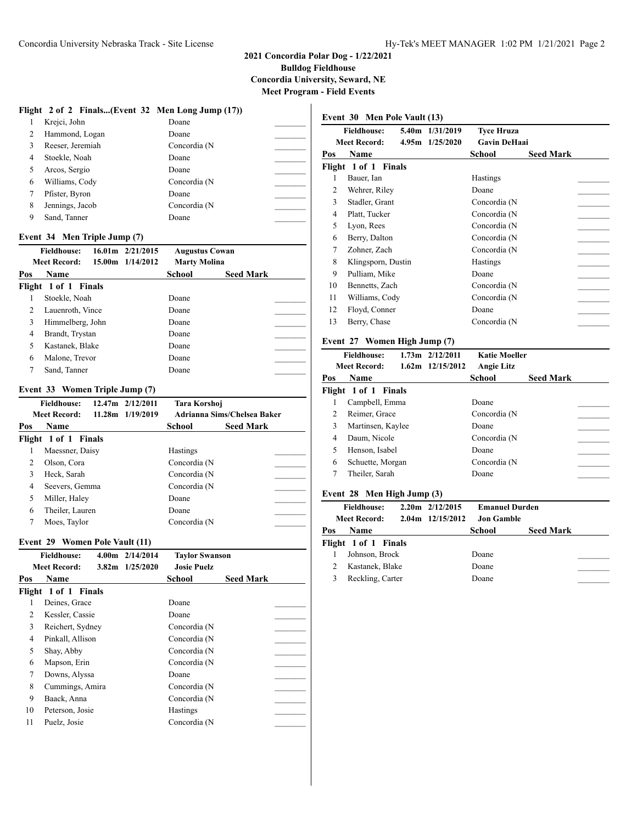#### **2021 Concordia Polar Dog - 1/22/2021 Bulldog Fieldhouse Concordia University, Seward, NE**

**Meet Program - Field Events**

|                |                                |                               | Flight 2 of 2 Finals(Event 32 Men Long Jump (17)) |                             |  |
|----------------|--------------------------------|-------------------------------|---------------------------------------------------|-----------------------------|--|
| 1              | Krejci, John                   |                               | Doane                                             |                             |  |
| $\overline{c}$ | Hammond, Logan                 |                               | Doane                                             |                             |  |
| 3              | Reeser, Jeremiah               |                               | Concordia (N                                      |                             |  |
| 4              | Stoekle, Noah                  |                               | Doane                                             |                             |  |
| 5              | Arcos, Sergio                  |                               | Doane                                             |                             |  |
| 6              | Williams, Cody                 |                               | Concordia (N                                      |                             |  |
| 7              | Pfister, Byron                 |                               | Doane                                             |                             |  |
| 8              | Jennings, Jacob                |                               | Concordia (N                                      |                             |  |
| 9              | Sand, Tanner                   |                               | Doane                                             |                             |  |
|                |                                |                               |                                                   |                             |  |
|                | Event 34 Men Triple Jump (7)   |                               |                                                   |                             |  |
|                | <b>Fieldhouse:</b>             | $16.01 \text{ m}$ $2/21/2015$ | <b>Augustus Cowan</b>                             |                             |  |
|                | <b>Meet Record:</b>            | 15.00m 1/14/2012              | <b>Marty Molina</b>                               |                             |  |
| Pos            | Name                           |                               | School                                            | <b>Seed Mark</b>            |  |
|                | Flight 1 of 1 Finals           |                               |                                                   |                             |  |
| 1              | Stoekle, Noah                  |                               | Doane                                             |                             |  |
| 2              | Lauenroth, Vince               |                               | Doane                                             |                             |  |
| 3              | Himmelberg, John               |                               | Doane                                             |                             |  |
| 4              | Brandt, Trystan                |                               | Doane                                             |                             |  |
| 5              | Kastanek, Blake                |                               | Doane                                             |                             |  |
| 6              | Malone, Trevor                 |                               | Doane                                             |                             |  |
| 7              | Sand, Tanner                   |                               | Doane                                             |                             |  |
|                |                                |                               |                                                   |                             |  |
|                |                                |                               |                                                   |                             |  |
|                | Event 33 Women Triple Jump (7) |                               |                                                   |                             |  |
|                | <b>Fieldhouse:</b>             | 12.47m 2/12/2011              | Tara Korshoj                                      |                             |  |
|                | <b>Meet Record:</b>            | 11.28m 1/19/2019              |                                                   | Adrianna Sims/Chelsea Baker |  |
| Pos            | Name                           |                               | School                                            | <b>Seed Mark</b>            |  |
|                | Flight 1 of 1 Finals           |                               |                                                   |                             |  |
| 1              | Maessner, Daisy                |                               | Hastings                                          |                             |  |
| $\overline{c}$ | Olson, Cora                    |                               | Concordia (N                                      |                             |  |
| 3              | Heck, Sarah                    |                               | Concordia (N                                      |                             |  |
| 4              | Seevers, Gemma                 |                               | Concordia (N                                      |                             |  |
| 5              | Miller, Haley                  |                               | Doane                                             |                             |  |
| 6              | Theiler, Lauren                |                               | Doane                                             |                             |  |
| 7              |                                |                               |                                                   |                             |  |
|                | Moes, Taylor                   |                               | Concordia (N                                      |                             |  |
|                | Event 29 Women Pole Vault (11) |                               |                                                   |                             |  |
|                | <b>Fieldhouse:</b>             | 4.00m 2/14/2014               | <b>Taylor Swanson</b>                             |                             |  |
|                | Meet Record: 3.82m 1/25/2020   |                               | <b>Josie Puelz</b>                                |                             |  |
| Pos            | Name                           |                               | School                                            | <b>Seed Mark</b>            |  |
| Flight         | 1 of 1 Finals                  |                               |                                                   |                             |  |
| 1              | Deines, Grace                  |                               | Doane                                             |                             |  |
| $\overline{2}$ | Kessler, Cassie                |                               | Doane                                             |                             |  |
| 3              | Reichert, Sydney               |                               | Concordia (N                                      |                             |  |
| $\overline{4}$ | Pinkall, Allison               |                               | Concordia (N                                      |                             |  |
|                |                                |                               |                                                   |                             |  |
| 5              | Shay, Abby                     |                               | Concordia (N                                      |                             |  |
| 6<br>$\tau$    | Mapson, Erin<br>Downs, Alyssa  |                               | Concordia (N<br>Doane                             |                             |  |

9 Baack, Anna Concordia (N \_\_\_\_\_\_\_\_\_ 10 Peterson, Josie Hastings 11 Puelz, Josie Concordia (N

#### **Event 30 Men Pole Vault (13) Fieldhouse: 5.40m 1/31/2019 Tyce Hruza Meet Record: 4.95m 1/25/2020 Gavin DeHaai Pos Name School Seed Mark Flight 1 of 1 Finals** 1 Bauer, Ian Hastings 2 Wehrer, Riley Doane 3 Stadler, Grant Concordia (N \_\_\_\_\_\_\_\_\_ 4 Platt, Tucker Concordia (N 5 Lyon, Rees Concordia (N<br>
6 Berry, Dalton Concordia (N<br>
7 Zohner, Zach Concordia (N<br>
8 Klingsporn, Dustin Hastings<br>
9 Pulliam, Mike Doane<br>
0 Bennetts, Zach Concordia (N<br>
1 Concordia (N<br>
1 Concordia (N<br>
1 Concordia (N<br>
1 C 6 Berry, Dalton Concordia (N \_\_\_\_\_\_\_\_\_ 7 Zohner, Zach Concordia (N \_\_\_\_\_\_\_\_\_ 8 Klingsporn, Dustin Hastings 9 Pulliam, Mike Doane 10 Bennetts, Zach Concordia (N 11 Williams, Cody Concordia (N \_\_\_\_\_\_\_\_\_ 12 Floyd, Conner Doane 13 Berry, Chase Concordia (N **Event 27 Women High Jump (7) Fieldhouse: 1.73m 2/12/2011 Katie Moeller Meet Record: 1.62m 12/15/2012 Angie Litz**

| Pos | Name                 | School       | <b>Seed Mark</b> |
|-----|----------------------|--------------|------------------|
|     | Flight 1 of 1 Finals |              |                  |
|     | Campbell, Emma       | Doane        |                  |
|     | Reimer, Grace        | Concordia (N |                  |
|     | Martinsen, Kaylee    | Doane        |                  |
| 4   | Daum, Nicole         | Concordia (N |                  |
|     | Henson, Isabel       | Doane        |                  |
| 6   | Schuette, Morgan     | Concordia (N |                  |
|     | Theiler, Sarah       | Doane        |                  |
|     |                      |              |                  |

#### **Event 28 Men High Jump (3)**

|     | <b>Fieldhouse:</b>   | $2.20m$ $2/12/2015$ | <b>Emanuel Durden</b> |                  |
|-----|----------------------|---------------------|-----------------------|------------------|
|     | Meet Record:         | $2.04m$ 12/15/2012  | Jon Gamble            |                  |
| Pos | <b>Name</b>          |                     | School                | <b>Seed Mark</b> |
|     | Flight 1 of 1 Finals |                     |                       |                  |
|     | Johnson, Brock       |                     | Doane                 |                  |
|     | Kastanek, Blake      |                     | Doane                 |                  |
|     | Reckling, Carter     |                     | Doane                 |                  |